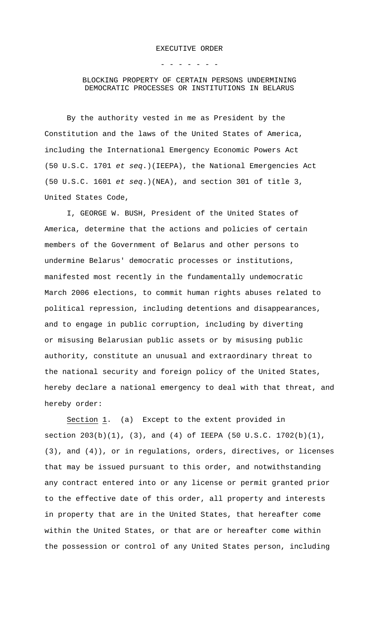- - - - - - -

## BLOCKING PROPERTY OF CERTAIN PERSONS UNDERMINING DEMOCRATIC PROCESSES OR INSTITUTIONS IN BELARUS

By the authority vested in me as President by the Constitution and the laws of the United States of America, including the International Emergency Economic Powers Act (50 U.S.C. 1701 *et seq*.)(IEEPA), the National Emergencies Act (50 U.S.C. 1601 *et seq*.)(NEA), and section 301 of title 3, United States Code,

I, GEORGE W. BUSH, President of the United States of America, determine that the actions and policies of certain members of the Government of Belarus and other persons to undermine Belarus' democratic processes or institutions, manifested most recently in the fundamentally undemocratic March 2006 elections, to commit human rights abuses related to political repression, including detentions and disappearances, and to engage in public corruption, including by diverting or misusing Belarusian public assets or by misusing public authority, constitute an unusual and extraordinary threat to the national security and foreign policy of the United States, hereby declare a national emergency to deal with that threat, and hereby order:

Section 1. (a) Except to the extent provided in section 203(b)(1), (3), and (4) of IEEPA (50 U.S.C. 1702(b)(1), (3), and (4)), or in regulations, orders, directives, or licenses that may be issued pursuant to this order, and notwithstanding any contract entered into or any license or permit granted prior to the effective date of this order, all property and interests in property that are in the United States, that hereafter come within the United States, or that are or hereafter come within the possession or control of any United States person, including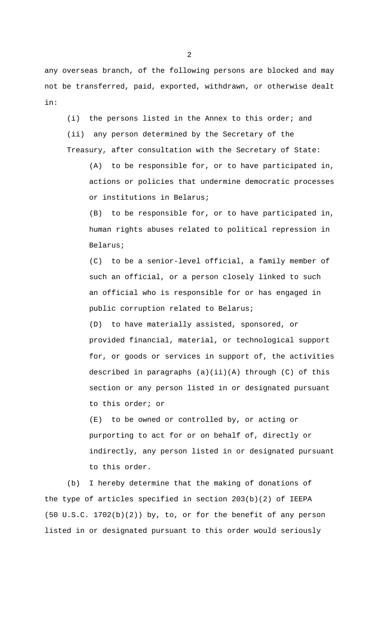any overseas branch, of the following persons are blocked and may not be transferred, paid, exported, withdrawn, or otherwise dealt in:

(i) the persons listed in the Annex to this order; and (ii) any person determined by the Secretary of the Treasury, after consultation with the Secretary of State:

(A) to be responsible for, or to have participated in, actions or policies that undermine democratic processes or institutions in Belarus;

(B) to be responsible for, or to have participated in, human rights abuses related to political repression in Belarus;

(C) to be a senior-level official, a family member of such an official, or a person closely linked to such an official who is responsible for or has engaged in public corruption related to Belarus;

(D) to have materially assisted, sponsored, or provided financial, material, or technological support for, or goods or services in support of, the activities described in paragraphs (a)(ii)(A) through (C) of this section or any person listed in or designated pursuant to this order; or

(E) to be owned or controlled by, or acting or purporting to act for or on behalf of, directly or indirectly, any person listed in or designated pursuant to this order.

(b) I hereby determine that the making of donations of the type of articles specified in section 203(b)(2) of IEEPA (50 U.S.C. 1702(b)(2)) by, to, or for the benefit of any person listed in or designated pursuant to this order would seriously

2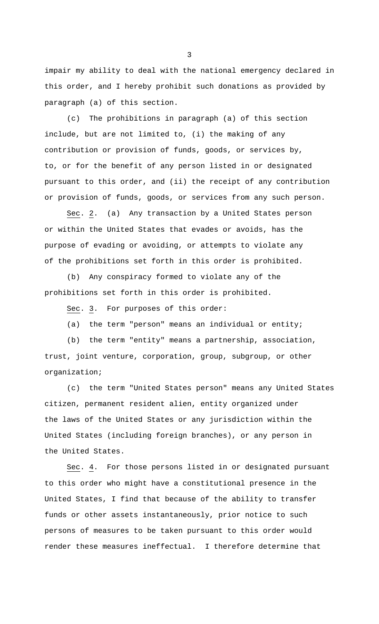impair my ability to deal with the national emergency declared in this order, and I hereby prohibit such donations as provided by paragraph (a) of this section.

(c) The prohibitions in paragraph (a) of this section include, but are not limited to, (i) the making of any contribution or provision of funds, goods, or services by, to, or for the benefit of any person listed in or designated pursuant to this order, and (ii) the receipt of any contribution or provision of funds, goods, or services from any such person.

Sec. 2. (a) Any transaction by a United States person or within the United States that evades or avoids, has the purpose of evading or avoiding, or attempts to violate any of the prohibitions set forth in this order is prohibited.

(b) Any conspiracy formed to violate any of the prohibitions set forth in this order is prohibited.

Sec. 3. For purposes of this order:

(a) the term "person" means an individual or entity;

(b) the term "entity" means a partnership, association, trust, joint venture, corporation, group, subgroup, or other organization;

(c) the term "United States person" means any United States citizen, permanent resident alien, entity organized under the laws of the United States or any jurisdiction within the United States (including foreign branches), or any person in the United States.

Sec. 4. For those persons listed in or designated pursuant to this order who might have a constitutional presence in the United States, I find that because of the ability to transfer funds or other assets instantaneously, prior notice to such persons of measures to be taken pursuant to this order would render these measures ineffectual. I therefore determine that

3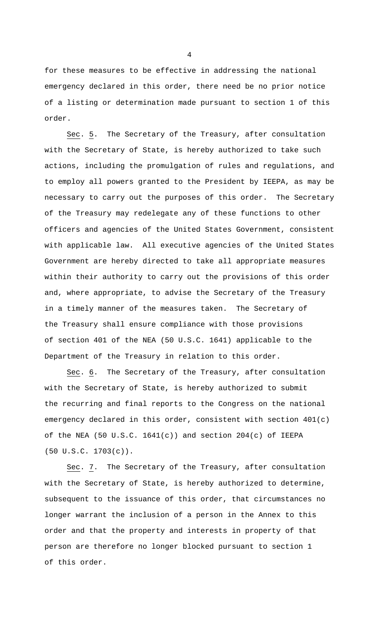for these measures to be effective in addressing the national emergency declared in this order, there need be no prior notice of a listing or determination made pursuant to section 1 of this order.

Sec. 5. The Secretary of the Treasury, after consultation with the Secretary of State, is hereby authorized to take such actions, including the promulgation of rules and regulations, and to employ all powers granted to the President by IEEPA, as may be necessary to carry out the purposes of this order. The Secretary of the Treasury may redelegate any of these functions to other officers and agencies of the United States Government, consistent with applicable law. All executive agencies of the United States Government are hereby directed to take all appropriate measures within their authority to carry out the provisions of this order and, where appropriate, to advise the Secretary of the Treasury in a timely manner of the measures taken. The Secretary of the Treasury shall ensure compliance with those provisions of section 401 of the NEA (50 U.S.C. 1641) applicable to the Department of the Treasury in relation to this order.

Sec. 6. The Secretary of the Treasury, after consultation with the Secretary of State, is hereby authorized to submit the recurring and final reports to the Congress on the national emergency declared in this order, consistent with section 401(c) of the NEA (50 U.S.C. 1641(c)) and section 204(c) of IEEPA (50 U.S.C. 1703(c)).

Sec. 7. The Secretary of the Treasury, after consultation with the Secretary of State, is hereby authorized to determine, subsequent to the issuance of this order, that circumstances no longer warrant the inclusion of a person in the Annex to this order and that the property and interests in property of that person are therefore no longer blocked pursuant to section 1 of this order.

4